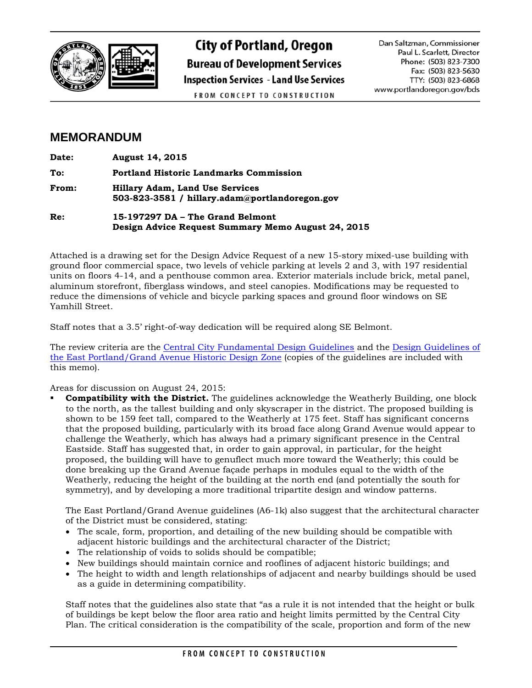

## **City of Portland, Oregon Bureau of Development Services Inspection Services - Land Use Services** FROM CONCEPT TO CONSTRUCTION

Dan Saltzman, Commissioner Paul L. Scarlett, Director Phone: (503) 823-7300 Fax: (503) 823-5630 TTY: (503) 823-6868 www.portlandoregon.gov/bds

## **MEMORANDUM**

| Date: | <b>August 14, 2015</b>                                                                   |
|-------|------------------------------------------------------------------------------------------|
| To:   | <b>Portland Historic Landmarks Commission</b>                                            |
| From: | <b>Hillary Adam, Land Use Services</b><br>503-823-3581 / hillary.adam@portlandoregon.gov |

**Re: 15-197297 DA – The Grand Belmont Design Advice Request Summary Memo August 24, 2015**

Attached is a drawing set for the Design Advice Request of a new 15-story mixed-use building with ground floor commercial space, two levels of vehicle parking at levels 2 and 3, with 197 residential units on floors 4-14, and a penthouse common area. Exterior materials include brick, metal panel, aluminum storefront, fiberglass windows, and steel canopies. Modifications may be requested to reduce the dimensions of vehicle and bicycle parking spaces and ground floor windows on SE Yamhill Street.

Staff notes that a 3.5' right-of-way dedication will be required along SE Belmont.

The review criteria are the [Central City Fundamental Design Guidelines](http://www.portlandoregon.gov/bps/31611) and the [Design Guidelines of](http://www.portlandoregon.gov/bps/article/89825)  [the East Portland/Grand Avenue Historic Design Zone](http://www.portlandoregon.gov/bps/article/89825) (copies of the guidelines are included with this memo).

Areas for discussion on August 24, 2015:

 **Compatibility with the District.** The guidelines acknowledge the Weatherly Building, one block to the north, as the tallest building and only skyscraper in the district. The proposed building is shown to be 159 feet tall, compared to the Weatherly at 175 feet. Staff has significant concerns that the proposed building, particularly with its broad face along Grand Avenue would appear to challenge the Weatherly, which has always had a primary significant presence in the Central Eastside. Staff has suggested that, in order to gain approval, in particular, for the height proposed, the building will have to genuflect much more toward the Weatherly; this could be done breaking up the Grand Avenue façade perhaps in modules equal to the width of the Weatherly, reducing the height of the building at the north end (and potentially the south for symmetry), and by developing a more traditional tripartite design and window patterns.

The East Portland/Grand Avenue guidelines (A6-1k) also suggest that the architectural character of the District must be considered, stating:

- The scale, form, proportion, and detailing of the new building should be compatible with adjacent historic buildings and the architectural character of the District;
- The relationship of voids to solids should be compatible;
- New buildings should maintain cornice and rooflines of adjacent historic buildings; and
- The height to width and length relationships of adjacent and nearby buildings should be used as a guide in determining compatibility.

Staff notes that the guidelines also state that "as a rule it is not intended that the height or bulk of buildings be kept below the floor area ratio and height limits permitted by the Central City Plan. The critical consideration is the compatibility of the scale, proportion and form of the new